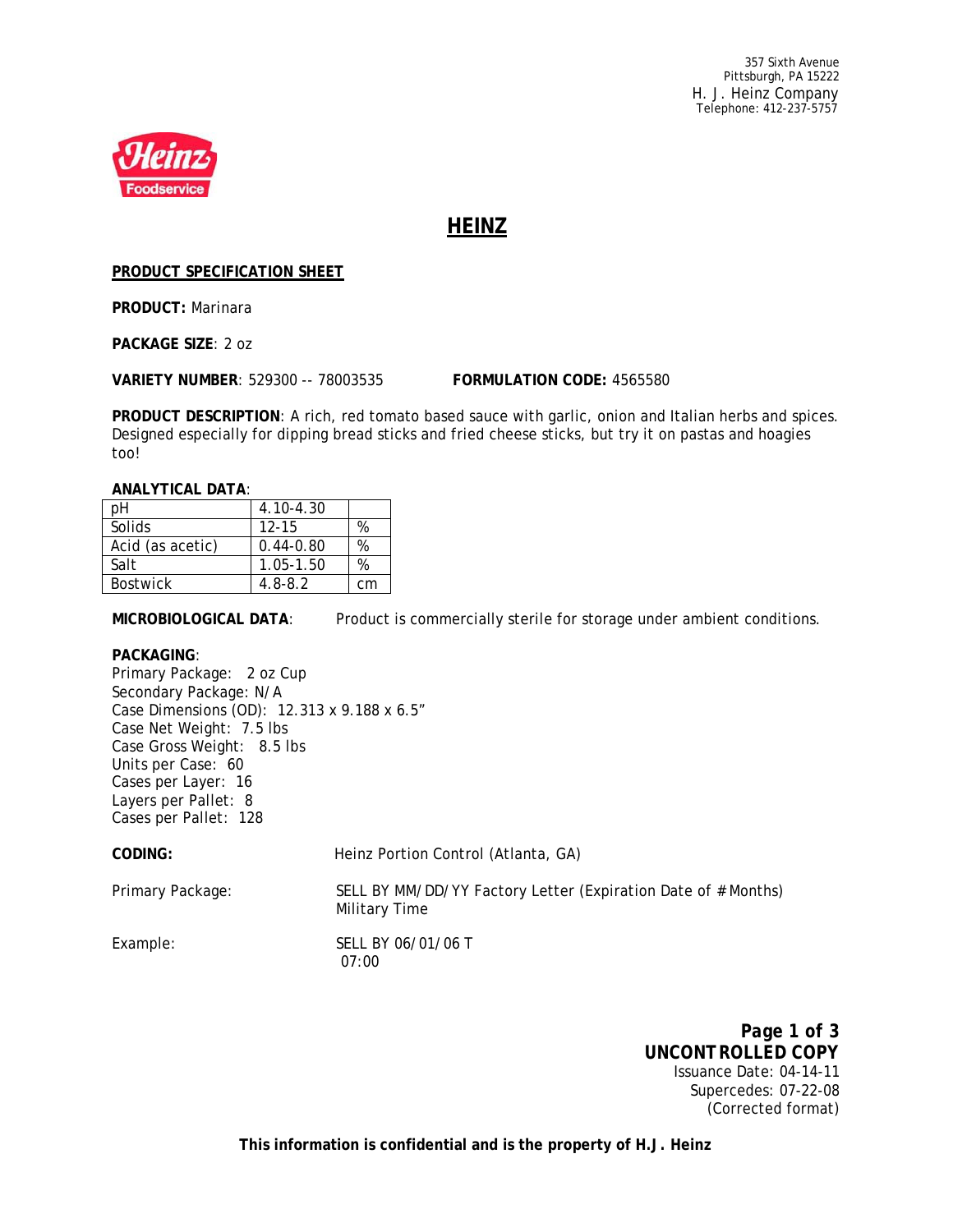357 Sixth Avenue Pittsburgh, PA 15222 H. J. Heinz Company Telephone: 412-237-5757



# **HEINZ**

### **PRODUCT SPECIFICATION SHEET**

**PRODUCT:** Marinara

**PACKAGE SIZE**: 2 oz

**VARIETY NUMBER**: 529300 -- 78003535 **FORMULATION CODE:** 4565580

**PRODUCT DESCRIPTION**: A rich, red tomato based sauce with garlic, onion and Italian herbs and spices. Designed especially for dipping bread sticks and fried cheese sticks, but try it on pastas and hoagies too!

#### **ANALYTICAL DATA**:

| pН               | 4.10-4.30     |    |  |  |
|------------------|---------------|----|--|--|
| Solids           | $12 - 15$     |    |  |  |
| Acid (as acetic) | $0.44 - 0.80$ | ℅  |  |  |
| Salt             | 1.05-1.50     | %  |  |  |
| <b>Bostwick</b>  | $4.8 - 8.2$   | сm |  |  |

**MICROBIOLOGICAL DATA**: Product is commercially sterile for storage under ambient conditions.

#### **PACKAGING**:

Primary Package: 2 oz Cup Secondary Package: N/A Case Dimensions (OD): 12.313 x 9.188 x 6.5" Case Net Weight: 7.5 lbs Case Gross Weight: 8.5 lbs Units per Case: 60 Cases per Layer: 16 Layers per Pallet: 8 Cases per Pallet: 128 **CODING:** Heinz Portion Control (Atlanta, GA) Primary Package: SELL BY MM/DD/YY Factory Letter (Expiration Date of # Months) Military Time Example: SELL BY 06/01/06 T

07:00

*Page 1 of 3 UNCONTROLLED COPY* Issuance Date: 04-14-11 Supercedes: 07-22-08 (Corrected format)

**This information is confidential and is the property of H.J. Heinz**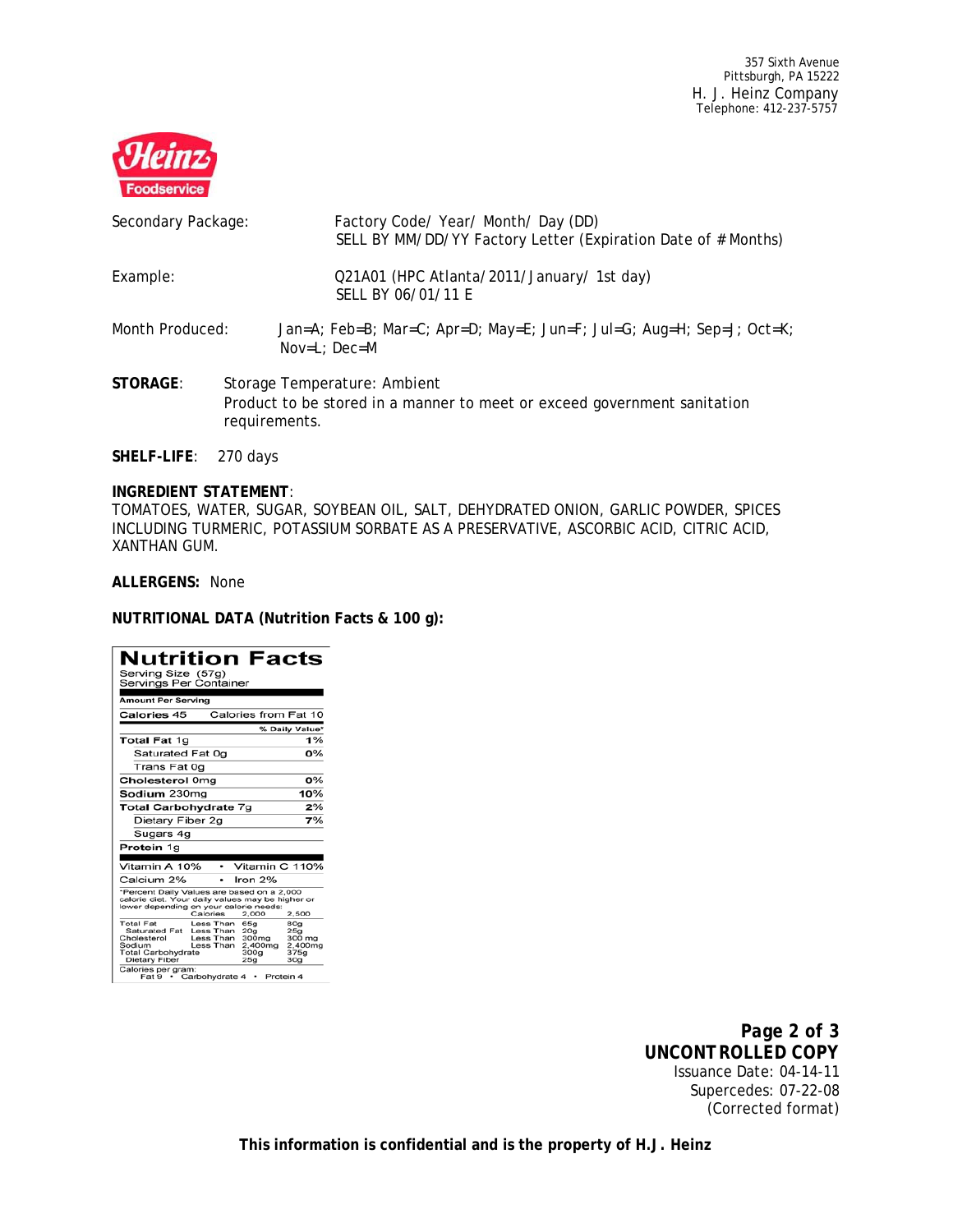357 Sixth Avenue Pittsburgh, PA 15222 H. J. Heinz Company Telephone: 412-237-5757



| Secondary Package: | Factory Code/ Year/ Month/ Day (DD)<br>SELL BY MM/DD/YY Factory Letter (Expiration Date of # Months)                      |
|--------------------|---------------------------------------------------------------------------------------------------------------------------|
| Example:           | Q21A01 (HPC Atlanta/2011/January/ 1st day)<br>SELL BY 06/01/11 E                                                          |
| Month Produced:    | Jan=A; Feb=B; Mar=C; Apr=D; May=E; Jun=F; Jul=G; Aug=H; Sep=J; Oct=K;<br>$Nov=L$ ; $Dec=M$                                |
| STORAGE:           | Storage Temperature: Ambient<br>Product to be stored in a manner to meet or exceed government sanitation<br>requirements. |

**SHELF-LIFE**: 270 days

#### **INGREDIENT STATEMENT**:

TOMATOES, WATER, SUGAR, SOYBEAN OIL, SALT, DEHYDRATED ONION, GARLIC POWDER, SPICES INCLUDING TURMERIC, POTASSIUM SORBATE AS A PRESERVATIVE, ASCORBIC ACID, CITRIC ACID, XANTHAN GUM.

**ALLERGENS:** None

**NUTRITIONAL DATA (Nutrition Facts & 100 g):**

| Nutrition Facts<br>Serving Size (57g)<br>Servings Per Container                                                                                                                                                                                                                                                                                                                      |  |  |  |  |
|--------------------------------------------------------------------------------------------------------------------------------------------------------------------------------------------------------------------------------------------------------------------------------------------------------------------------------------------------------------------------------------|--|--|--|--|
| Amount Per Serving                                                                                                                                                                                                                                                                                                                                                                   |  |  |  |  |
| Calories from Fat 10<br><b>Calories 45</b>                                                                                                                                                                                                                                                                                                                                           |  |  |  |  |
| % Daily Value*                                                                                                                                                                                                                                                                                                                                                                       |  |  |  |  |
| 1%<br>Total Fat 1g                                                                                                                                                                                                                                                                                                                                                                   |  |  |  |  |
| 0%<br>Saturated Fat 0g                                                                                                                                                                                                                                                                                                                                                               |  |  |  |  |
| Trans Fat 0q                                                                                                                                                                                                                                                                                                                                                                         |  |  |  |  |
| n%<br>Cholesterol 0mg                                                                                                                                                                                                                                                                                                                                                                |  |  |  |  |
| 10%<br><b>Sodium</b> 230mg                                                                                                                                                                                                                                                                                                                                                           |  |  |  |  |
| 2%<br>Total Carbohydrate 7g                                                                                                                                                                                                                                                                                                                                                          |  |  |  |  |
| 7%<br>Dietary Fiber 2g                                                                                                                                                                                                                                                                                                                                                               |  |  |  |  |
| Sugars 4g                                                                                                                                                                                                                                                                                                                                                                            |  |  |  |  |
| Protein 1g                                                                                                                                                                                                                                                                                                                                                                           |  |  |  |  |
| Vitamin C 110%<br>Vitamin A 10%                                                                                                                                                                                                                                                                                                                                                      |  |  |  |  |
| Calcium 2%<br>Iron $2%$<br>۰                                                                                                                                                                                                                                                                                                                                                         |  |  |  |  |
| *Percent Daily Values are based on a 2,000<br>calorie diet. Your daily values may be higher or<br>lower depending on your calorie needs:<br>Calories<br>2,000<br>2.500                                                                                                                                                                                                               |  |  |  |  |
| <b>Total Fat</b><br>Less Than<br>65g<br>80 <sub>9</sub><br>Saturated Fat<br>Less Than<br>20 <sub>a</sub><br>25g<br>Less Than<br>Cholesterol<br>300 <sub>ma</sub><br>300 mg<br>Less Than<br>Sodium<br>2.400mg<br>2.400mg<br><b>Total Carbohydrate</b><br>300g<br>375a<br>Dietary Fiber<br>25a<br>30 <sub>q</sub><br>Calories per gram:<br>$Part 9 -$<br>Carbohydrate 4 ·<br>Protein 4 |  |  |  |  |

*Page 2 of 3 UNCONTROLLED COPY* Issuance Date: 04-14-11 Supercedes: 07-22-08 (Corrected format)